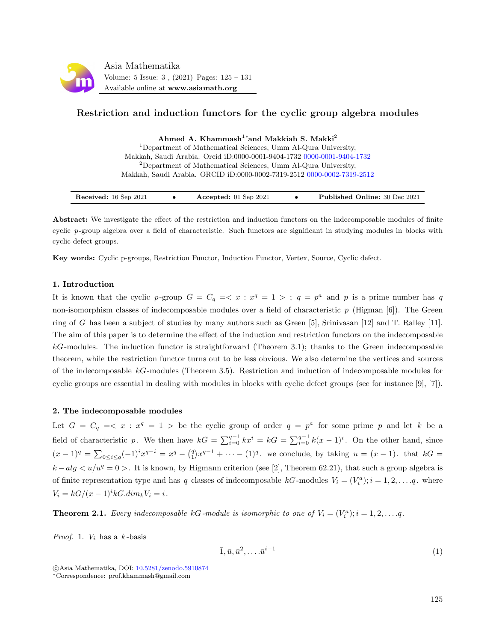

# Restriction and induction functors for the cyclic group algebra modules

Ahmed A. Khammash<sup>1</sup>\*and Makkiah S. Makki<sup>2</sup>

<sup>1</sup>Department of Mathematical Sciences, Umm Al-Qura University, Makkah, Saudi Arabia. Orcid iD:0000-0001-9404-1732 [0000-0001-9404-1732](https://orcid.org/0000-0001-9404-1732) <sup>2</sup>Department of Mathematical Sciences, Umm Al-Qura University, Makkah, Saudi Arabia. ORCID iD:0000-0002-7319-2512 [0000-0002-7319-2512](https://orcid.org/0000-0002-7319-2512)

| Received: 16 Sep 2021 | Accepted: $01$ Sep 2021 |  | <b>Published Online: 30 Dec 2021</b> |
|-----------------------|-------------------------|--|--------------------------------------|
|-----------------------|-------------------------|--|--------------------------------------|

Abstract: We investigate the effect of the restriction and induction functors on the indecomposable modules of finite cyclic p-group algebra over a field of characteristic. Such functors are significant in studying modules in blocks with cyclic defect groups.

Key words: Cyclic p-groups, Restriction Functor, Induction Functor, Vertex, Source, Cyclic defect.

## 1. Introduction

It is known that the cyclic p-group  $G = C_q = \langle x : x^q = 1 \rangle$ ;  $q = p^a$  and p is a prime number has q non-isomorphism classes of indecomposable modules over a field of characteristic  $p$  (Higman [6]). The Green ring of G has been a subject of studies by many authors such as Green [5], Srinivasan [12] and T. Ralley [11]. The aim of this paper is to determine the effect of the induction and restriction functors on the indecomposable  $k$ -modules. The induction functor is straightforward (Theorem 3.1); thanks to the Green indecomposable theorem, while the restriction functor turns out to be less obvious. We also determine the vertices and sources of the indecomposable  $kG$ -modules (Theorem 3.5). Restriction and induction of indecomposable modules for cyclic groups are essential in dealing with modules in blocks with cyclic defect groups (see for instance [9], [7]).

## 2. The indecomposable modules

Let  $G = C_q = \langle x : x^q = 1 \rangle$  be the cyclic group of order  $q = p^a$  for some prime p and let k be a field of characteristic p. We then have  $kG = \sum_{i=0}^{q-1} kx^i = kG = \sum_{i=0}^{q-1} k(x-1)^i$ . On the other hand, since  $(x-1)^q = \sum_{0 \leq i \leq q} (-1)^i x^{q-i} = x^q - {q \choose 1} x^{q-1} + \cdots - (1)^q$  we conclude, by taking  $u = (x-1)$ . that  $kG =$  $k - alg < u/u^q = 0 >$ . It is known, by Higmann criterion (see [2], Theorem 62.21), that such a group algebra is of finite representation type and has q classes of indecomposable  $kG$ -modules  $V_i = (V_i^a); i = 1, 2, \ldots, q$ . where  $V_i = kG/(x-1)^i kG.dim_k V_i = i$ .

<span id="page-0-1"></span>**Theorem 2.1.** Every indecomposable kG-module is isomorphic to one of  $V_i = (V_i^a); i = 1, 2, ..., q$ .

*Proof.* 1.  $V_i$  has a  $k$ -basis

<span id="page-0-0"></span>
$$
\overline{1}, \overline{u}, \overline{u}^2, \dots \overline{u}^{i-1} \tag{1}
$$

c Asia Mathematika, DOI: [10.5281/zenodo.5910874](http://www.asiamath.org/article/vol5iss3/AM-2112-3002.pdf)

<sup>∗</sup>Correspondence: prof.khammash@gmail.com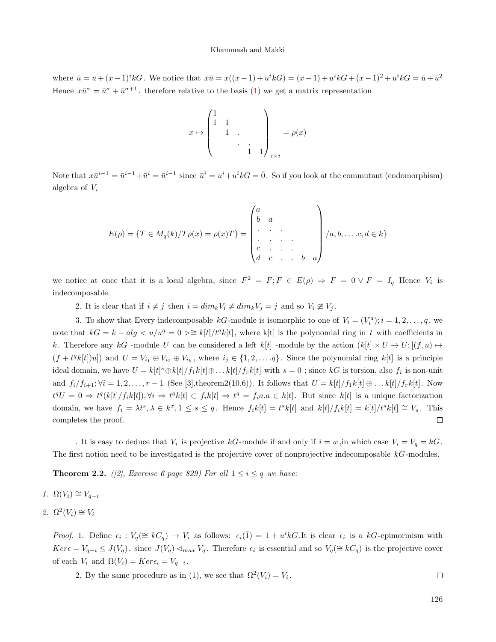where  $\bar{u} = u + (x-1)^i kG$ . We notice that  $x\bar{u} = x((x-1) + u^i k) = (x-1) + u^i k + (x-1)^2 + u^i k = \bar{u} + \bar{u}^2$ Hence  $x\bar{u}^{\sigma} = \bar{u}^{\sigma} + \bar{u}^{\sigma+1}$ , therefore relative to the basis [\(1\)](#page-0-0) we get a matrix representation

$$
x \mapsto \begin{pmatrix} 1 & & & \\ 1 & 1 & & \\ & 1 & . & \\ & & \ddots & . & \\ & & & 1 & 1 \end{pmatrix}_{i \times i} = \rho(x)
$$

Note that  $x\overline{u}^{i-1} = \overline{u}^{i-1} + \overline{u}^i = \overline{u}^{i-1}$  since  $\overline{u}^i = u^i + u^i kG = \overline{0}$ . So if you look at the commutant (endomorphism) algebra of  $V_i$ 

$$
E(\rho) = \{T \in M_q(k)/T\rho(x) = \rho(x)T\} = \begin{pmatrix} a & & & \\ b & a & & \\ \cdot & \cdot & \cdot & \\ \cdot & \cdot & \cdot & \cdot \\ c & \cdot & \cdot & \cdot \\ d & c & \cdot & \cdot & b & a \end{pmatrix} / a, b, \dots, c, d \in k\}
$$

we notice at once that it is a local algebra, since  $F^2 = F; F \in E(\rho) \Rightarrow F = 0 \vee F = I_q$  Hence  $V_i$  is indecomposable.

2. It is clear that if  $i \neq j$  then  $i = dim_k V_i \neq dim_k V_j = j$  and so  $V_i \not\cong V_j$ .

3. To show that Every indecomposable  $kG$ -module is isomorphic to one of  $V_i = (V_i^a); i = 1, 2, ..., q$ , we note that  $kG = k - alg < u/u^q = 0 \geq k[t]/t^qk[t]$ , where k[t] is the polynomial ring in t with coefficients in k. Therefore any kG -module U can be considered a left k[t] -module by the action  $(k[t] \times U \to U; [(f, u) \mapsto$  $(f + t^q k[t])u]$  and  $U = V_{i_1} \oplus V_{i_2} \oplus V_{i_k}$ , where  $i_j \in \{1, 2, ..., q\}$ . Since the polynomial ring  $k[t]$  is a principle ideal domain, we have  $U = k[t]^s \oplus k[t]/f_1k[t] \oplus \ldots k[t]/f_rk[t]$  with  $s = 0$ ; since  $kG$  is torsion, also  $f_i$  is non-unit and  $f_i/f_{i+1}$ ;  $\forall i = 1, 2, \ldots, r-1$  (See [3], theorem 2(10.6)). It follows that  $U = k[t]/f_1k[t] \oplus \ldots k[t]/f_rk[t]$ . Now  $t^qU = 0 \Rightarrow t^q(k[t]/f_ik[t]), \forall i \Rightarrow t^qk[t] \subset f_ik[t] \Rightarrow t^q = f_ia.a \in k[t].$  But since  $k[t]$  is a unique factorization domain, we have  $f_i = \lambda t^s, \lambda \in k^x, 1 \le s \le q$ . Hence  $f_i k[t] = t^s k[t]$  and  $k[t]/f_i k[t] = k[t]/t^s k[t] \cong V_s$ . This completes the proof.  $\Box$ 

. It is easy to deduce that  $V_i$  is projective  $kG$ -module if and only if  $i = w$ , in which case  $V_i = V_q = kG$ . The first notion need to be investigated is the projective cover of nonprojective indecomposable  $kG$ -modules.

<span id="page-1-0"></span>**Theorem 2.2.** ([2], Exercise 6 page 829) For all  $1 \leq i \leq q$  we have:

$$
1. \ \Omega(V_i) \cong V_{q-i}
$$

2. 
$$
\Omega^2(V_i) \cong V_i
$$

*Proof.* 1. Define  $\epsilon_i : V_q(\cong kC_q) \to V_i$  as follows:  $\epsilon_i(\overline{1}) = 1 + u^i kG$ .It is clear  $\epsilon_i$  is a  $kG$ -epimormism with  $Ker \epsilon = V_{q-i} \leq J(V_q)$ . since  $J(V_q) \triangleleft_{max} V_q$ . Therefore  $\epsilon_i$  is essential and so  $V_q(\cong kC_q)$  is the projective cover of each  $V_i$  and  $\Omega(V_i) = Ker \epsilon_i = V_{q-i}$ .

2. By the same procedure as in (1), we see that  $\Omega^2(V_i) = V_i$ .  $\Box$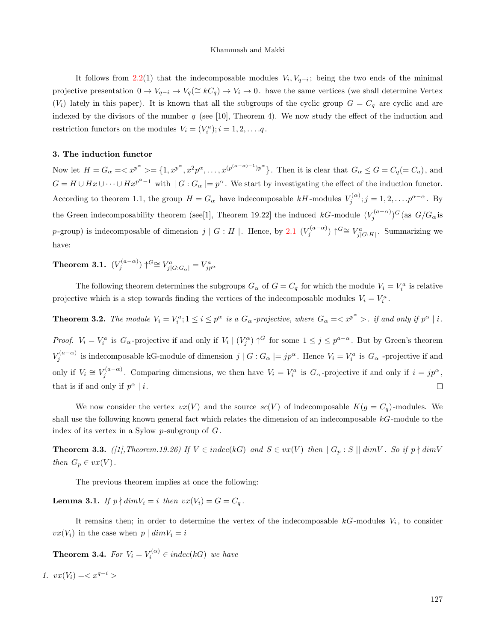It follows from [2.2\(](#page-1-0)1) that the indecomposable modules  $V_i, V_{q-i}$ ; being the two ends of the minimal projective presentation  $0 \to V_{q-i} \to V_q(\cong kC_q) \to V_i \to 0$ . have the same vertices (we shall determine Vertex  $(V_i)$  lately in this paper). It is known that all the subgroups of the cyclic group  $G = C_q$  are cyclic and are indexed by the divisors of the number  $q$  (see [10], Theorem 4). We now study the effect of the induction and restriction functors on the modules  $V_i = (V_i^a); i = 1, 2, ..., q$ .

#### 3. The induction functor

Now let  $H = G_\alpha = \langle x^{p^\alpha} \rangle = \{1, x^{p^\alpha}, x^2 p^\alpha, \dots, x^{(p^{(\alpha-\alpha)-1})p^\alpha}\}\.$  Then it is clear that  $G_\alpha \le G = C_q (= C_a)$ , and  $G = H \cup Hx \cup \cdots \cup Hx^{p^{\alpha}-1}$  with  $|G: G_{\alpha}| = p^{\alpha}$ . We start by investigating the effect of the induction functor. According to theorem 1.1, the group  $H = G_{\alpha}$  have indecomposable kH-modules  $V_j^{(\alpha)}$ ;  $j = 1, 2, \ldots, p^{\alpha - \alpha}$ . By the Green indecomposability theorem (see[1], Theorem 19.22] the induced  $kG$ -module  $(V_j^{(a-\alpha)})^G$  (as  $G/G_\alpha$  is p-group) is indecomposable of dimension  $j \mid G : H \mid$ . Hence, by [2.1](#page-0-1)  $(V_j^{(a-\alpha)}) \uparrow^{G} \cong V_{j|G:H}^a$ . Summarizing we have:

Theorem 3.1.  $(V^{(a-\alpha)}_j)\uparrow^{G}\cong V^{a}_{j\mid G:G_{\alpha}\mid}=V^{a}_{jp^{\alpha}}$ 

The following theorem determines the subgroups  $G_{\alpha}$  of  $G = C_q$  for which the module  $V_i = V_i^a$  is relative projective which is a step towards finding the vertices of the indecomposable modules  $V_i = V_i^a$ .

**Theorem 3.2.** The module  $V_i = V_i^a$ ;  $1 \le i \le p^\alpha$  is a  $G_\alpha$ -projective, where  $G_\alpha = \langle x^{p^\alpha} \rangle$ . if and only if  $p^\alpha | i$ .

*Proof.*  $V_i = V_i^a$  is  $G_\alpha$ -projective if and only if  $V_i \mid (V_j^\alpha) \uparrow^G$  for some  $1 \leq j \leq p^{a-\alpha}$ . But by Green's theorem  $V_j^{(a-\alpha)}$  is indecomposable kG-module of dimension  $j \mid G : G_\alpha \mid = j p^\alpha$ . Hence  $V_i = V_i^a$  is  $G_\alpha$  -projective if and only if  $V_i \cong V_j^{(a-\alpha)}$ . Comparing dimensions, we then have  $V_i = V_i^a$  is  $G_\alpha$ -projective if and only if  $i = j p^\alpha$ , that is if and only if  $p^{\alpha} | i$ .  $\Box$ 

We now consider the vertex  $vx(V)$  and the source  $sc(V)$  of indecomposable  $K(g = C_q)$ -modules. We shall use the following known general fact which relates the dimension of an indecomposable kG-module to the index of its vertex in a Sylow  $p$ -subgroup of  $G$ .

**Theorem 3.3.** ([1], Theorem.19.26) If  $V \in indec(kG)$  and  $S \in vx(V)$  then  $|G_p : S|| dim V$ . So if  $p \nmid dim V$ then  $G_p \in vx(V)$ .

The previous theorem implies at once the following:

**Lemma 3.1.** If  $p \nmid dim V_i = i$  then  $vx(V_i) = G = C_q$ .

It remains then; in order to determine the vertex of the indecomposable  $kG$ -modules  $V_i$ , to consider  $vx(V_i)$  in the case when  $p \mid dimV_i = i$ 

**Theorem 3.4.** For  $V_i = V_i^{(\alpha)} \in indec(kG)$  we have

1.  $vx(V_i) =$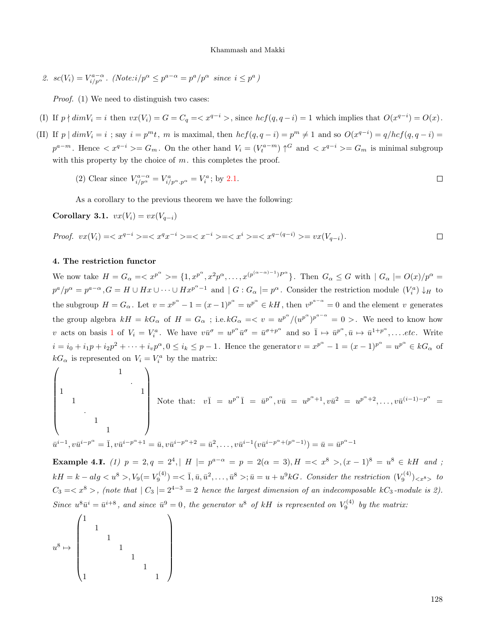2.  $sc(V_i) = V_{i/p^{\alpha}}^{a-\alpha}$ . (Note: $i/p^{\alpha} \leq p^{a-\alpha} = p^a/p^{\alpha}$  since  $i \leq p^a$ )

Proof. (1) We need to distinguish two cases:

- (I) If  $p \nmid dim V_i = i$  then  $vx(V_i) = G = C_q = \langle x^{q-i} \rangle$ , since  $hcf(q, q-i) = 1$  which implies that  $O(x^{q-i}) = O(x)$ .
- (II) If  $p \mid dimV_i = i$ ; say  $i = p^m t$ , m is maximal, then  $hcf(q, q i) = p^m \neq 1$  and so  $O(x^{q-i}) = q/hcf(q, q i) =$  $p^{a-m}$ . Hence  $\langle x^{q-i}\rangle = G_m$ . On the other hand  $V_i = (V_t^{a-m}) \uparrow^G$  and  $\langle x^{q-i}\rangle = G_m$  is minimal subgroup with this property by the choice of  $m$ . this completes the proof.

(2) Clear since 
$$
V_{i/p^{\alpha}}^{a-\alpha} = V_{i/p^{\alpha} \cdot p^{\alpha}}^{a} = V_{i}^{a}
$$
; by 2.1.

As a corollary to the previous theorem we have the following:

Corollary 3.1. 
$$
vx(V_i) = vx(V_{q-i})
$$

*Proof.* 
$$
vx(V_i) = \langle x^{q-i} \rangle = \langle x^q x^{-i} \rangle = \langle x^{-i} \rangle = \langle x^i \rangle = \langle x^{q-(q-i)} \rangle = vx(V_{q-i}).
$$

### 4. The restriction functor

We now take  $H = G_\alpha = \langle x^{p^\alpha} \rangle = \{1, x^{p^\alpha}, x^2 p^\alpha, \dots, x^{(p^{(\alpha-\alpha)-1})P^\alpha}\}\.$  Then  $G_\alpha \le G$  with  $|G_\alpha| = O(x)/p^\alpha =$  $p^a/p^\alpha = p^{a-\alpha}, G = H \cup Hx \cup \cdots \cup Hx^{p^{\alpha}-1}$  and  $|G: G_\alpha| = p^{\alpha}$ . Consider the restriction module  $(V_i^a) \downarrow_H$  to the subgroup  $H = G_\alpha$ . Let  $v = x^{p^\alpha} - 1 = (x - 1)^{p^\alpha} = u^{p^\alpha} \in kH$ , then  $v^{p^{a-\alpha}} = 0$  and the element v generates the group algebra  $kH = kG_\alpha$  of  $H = G_\alpha$ ; i.e.  $kG_\alpha = \langle v = u^{p^\alpha}/(u^{p^\alpha})^{p^{a-\alpha}} = 0 \rangle$ . We need to know how v acts on basis [1](#page-0-0) of  $V_i = V_i^a$ . We have  $v\bar{u}^{\sigma} = u^{p^{\alpha}}\bar{u}^{\sigma} = \bar{u}^{\sigma+p^{\alpha}}$  and so  $\bar{1} \mapsto \bar{u}^{p^{\alpha}}, \bar{u} \mapsto \bar{u}^{1+p^{\alpha}}, \dots etc.$  Write  $i = i_0 + i_1 p + i_2 p^2 + \dots + i_v p^{\alpha}, 0 \leq i_k \leq p - 1$ . Hence the generator  $v = x^{p^{\alpha}} - 1 = (x - 1)^{p^{\alpha}} = u^{p^{\alpha}} \in kG_{\alpha}$  of  $kG_{\alpha}$  is represented on  $V_i = V_i^a$  by the matrix:

$$
\begin{pmatrix}\n1 & & & & \\
1 & & & & & \\
& & & & & 1 \\
& & & & & & \\
& & & & & 1 \\
& & & & & & \\
& & & & & 1\n\end{pmatrix}
$$
\nNote that:  $v\overline{1} = u^{p^{\alpha}}\overline{1} = \overline{u}^{p^{\alpha}}, v\overline{u} = u^{p^{\alpha}+1}, v\overline{u}^{2} = u^{p^{\alpha}+2}, \dots, v\overline{u}^{(i-1)-p^{\alpha}} =$ \n
$$
\overline{u}^{i-1}, v\overline{u}^{i-p^{\alpha}} = \overline{1}, v\overline{u}^{i-p^{\alpha}+1} = \overline{u}, v\overline{u}^{i-p^{\alpha}+2} = \overline{u}^{2}, \dots, v\overline{u}^{i-1}(v\overline{u}^{i-p^{\alpha}+(p^{\alpha}-1)}) = \overline{u} = \overline{u}^{p^{\alpha}-1}
$$

Example 4.1. (1)  $p = 2, q = 2^4$ ,  $|H| = p^{a-\alpha} = p = 2(\alpha = 3), H = \langle x^8 \rangle, (x-1)^8 = u^8 \in kH$  and ;  $kH = k - alg < u^8 >, V_9(=V_9^{(4)}) = \langle \bar{1}, \bar{u}, \bar{u}^2, \dots, \bar{u}^8 >; \bar{u} = u + u^9 kG$ . Consider the restriction  $(V_9^{(4)})_{< x^8>}$  to  $C_3 = \langle x^8 \rangle$ , (note that  $| C_3 | = 2^{4-3} = 2$  hence the largest dimension of an indecomposable kC<sub>3</sub>-module is 2). Since  $u^8 \bar{u}^i = \bar{u}^{i+8}$ , and since  $\bar{u}^9 = 0$ , the generator  $u^8$  of kH is represented on  $V_9^{(4)}$  by the matrix:

$$
u^8 \mapsto \begin{pmatrix} 1&&&&&\\ &1&&&&&\\ &&1&&&&\\ &&&1&&&\\ &&&&1&&\\ &&&&&1&\\ &&&&&1&\\ &&&&&1&\\ 1&&&&&&1& \end{pmatrix}
$$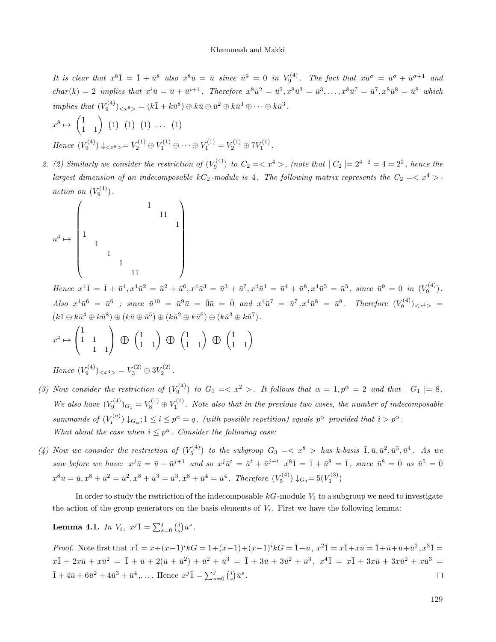It is clear that  $x^{8}$  $\overline{1}$  =  $\overline{1}$  +  $\overline{u}^{8}$  also  $x^{8}$  $\overline{u}$  =  $\overline{u}$  since  $\overline{u}^{9}$  = 0 in  $V_9^{(4)}$ . The fact that  $x\overline{u}^{\sigma}$  =  $\overline{u}^{\sigma}$  +  $\overline{u}^{\sigma+1}$  and  $char(k) = 2$  implies that  $x^i\overline{u} = \overline{u} + \overline{u}^{i+1}$ . Therefore  $x^8\overline{u}^2 = \overline{u}^2, x^8\overline{u}^3 = \overline{u}^3, \ldots, x^8\overline{u}^7 = \overline{u}^7, x^8\overline{u}^8 = \overline{u}^8$  which implies that  $(V_9^{(4)})_{\langle x^8 \rangle} = (k\overline{1} + k\overline{u}^8) \oplus k\overline{u} \oplus \overline{u}^2 \oplus k\overline{u}^3 \oplus \cdots \oplus k\overline{u}^3$ .

$$
x^{8} \mapsto \begin{pmatrix} 1 \\ 1 \end{pmatrix} (1) (1) (1) \dots (1)
$$
  
Hence  $(V_9^{(4)}) \downarrow \langle x^{8} \rangle = V_2^{(1)} \oplus V_1^{(1)} \oplus \dots \oplus V_1^{(1)} = V_2^{(1)} \oplus 7V_1^{(1)}.$ 

2. (2) Similarly we consider the restriction of  $(V_9^{(4)})$  to  $C_2 = \langle x^4 \rangle$ , (note that  $|C_2| = 2^{4-2} = 4 = 2^2$ , hence the largest dimension of an indecomposable  $kC_2$ -module is 4. The following matrix represents the  $C_2 = \langle x^4 \rangle$ action on  $(V_9^{(4)})$ .

$$
u^4 \mapsto \begin{pmatrix} & & & & & 1 & & & \\ & & & & & & & & 1 & \\ 1 & & & & & & & & & 1 \\ & & 1 & & & & & & & \\ & & & 1 & & & & & & \\ & & & & 1 & & & & & \\ & & & & 1 & & & & & \\ & & & & & 1 & & & & & \\ & & & & & & 1 & & & & \\ & & & & & & & 1 & & & & \\ \end{pmatrix}
$$

Hence  $x^4\overline{1} = \overline{1} + \overline{u}^4, x^4\overline{u}^2 = \overline{u}^2 + \overline{u}^6, x^4\overline{u}^3 = \overline{u}^3 + \overline{u}^7, x^4\overline{u}^4 = \overline{u}^4 + \overline{u}^8, x^4\overline{u}^5 = \overline{u}^5$ , since  $\overline{u}^9 = 0$  in  $(V_9^{(4)})$ .  $Also \ \ x^4 \bar{u}^6 \ = \ \bar{u}^6 \ \ ; \ \ since \ \ \bar{u}^{10} \ = \ \bar{u}^9 \bar{u} \ = \ \bar{0} \bar{u} \ = \ \bar{0} \ \ and \ \ x^4 \bar{u}^7 \ = \ \bar{u}^7 \,, \ x^4 \bar{u}^8 \ = \ \bar{u}^8 \,. \quad Therefore \ \ (V_9^{(4)})_{< x^4>} \ = \ \bar{v}^8 \, .$  $(k\overline{1} \oplus k\overline{u}^4 \oplus k\overline{u}^8) \oplus (k\overline{u} \oplus \overline{u}^5) \oplus (k\overline{u}^2 \oplus k\overline{u}^6) \oplus (k\overline{u}^3 \oplus k\overline{u}^7).$ 

$$
x^4 \mapsto \begin{pmatrix} 1 & 1 \\ 1 & 1 \\ 1 & 1 \end{pmatrix} \oplus \begin{pmatrix} 1 & 1 \\ 1 & 1 \end{pmatrix} \oplus \begin{pmatrix} 1 & 1 \\ 1 & 1 \end{pmatrix} \oplus \begin{pmatrix} 1 & 1 \\ 1 & 1 \end{pmatrix}
$$

Hence  $(V_9^{(4)})_{< x^4>} = V_3^{(2)} \oplus 3V_2^{(2)}$ .

- (3) Now consider the restriction of  $(V_9^{(4)})$  to  $G_1 = \langle x^2 \rangle$ . It follows that  $\alpha = 1, p^{\alpha} = 2$  and that  $|G_1| = 8$ . We also have  $(V_9^{(4)})_{G_1} = V_8^{(1)} \oplus V_1^{(1)}$ . Note also that in the previous two cases, the number of indecomposable summands of  $(V_i^{(a)}) \downarrow_{G_\alpha}$ ;  $1 \leq i \leq p^\alpha = q$ . (with possible repetition) equals  $p^\alpha$  provided that  $i > p^\alpha$ . What about the case when  $i \leq p^{\alpha}$ . Consider the following case:
- (4) Now we consider the restriction of  $(V_5^{(4)})$  to the subgroup  $G_3 = \langle x^8 \rangle$  has k-basis  $\overline{1}, \overline{u}, \overline{u}^2, \overline{u}^3, \overline{u}^4$ . As we saw before we have:  $x^j\bar{u} = \bar{u} + \bar{u}^{j+1}$  and so  $x^j\bar{u}^t = \bar{u}^t + \bar{u}^{j+t}$   $x^8\bar{1} = \bar{1} + \bar{u}^8 = \bar{1}$ , since  $\bar{u}^8 = \bar{0}$  as  $\bar{u}^5 = \bar{0}$  $x^8\bar{u} = \bar{u}, x^8 + \bar{u}^2 = \bar{u}^2, x^8 + \bar{u}^3 = \bar{u}^3, x^8 + \bar{u}^4 = \bar{u}^4$ . Therefore  $(V_5^{(4)}) \downarrow_{G_3} = 5(V_1^{(3)})$

In order to study the restriction of the indecomposable  $kG$ -module  $V_i$  to a subgroup we need to investigate the action of the group generators on the basis elements of  $V_i$ . First we have the following lemma:

<span id="page-4-0"></span>**Lemma 4.1.** In  $V_i$ ,  $x^j \overline{1} = \sum_{s=0}^j \binom{j}{s} \overline{u}^s$ .

*Proof.* Note first that  $x\overline{1} = x + (x-1)^i kG = 1 + (x-1) + (x-1)^i kG = \overline{1} + \overline{u}$ ,  $x^2\overline{1} = x\overline{1} + x\overline{u} = \overline{1} + \overline{u} + \overline{u}^2$ ,  $x^3\overline{1} = x$  $x\overline{1} + 2x\overline{u} + x\overline{u}^2 = \overline{1} + \overline{u} + 2(\overline{u} + \overline{u}^2) + \overline{u}^2 + \overline{u}^3 = \overline{1} + 3\overline{u} + 3\overline{u}^2 + \overline{u}^3$ ,  $x^4\overline{1} = x\overline{1} + 3x\overline{u} + 3x\overline{u}^2 + x\overline{u}^3 =$  $\overline{1} + 4\overline{u} + 6\overline{u}^2 + 4\overline{u}^3 + \overline{u}^4, \dots$  Hence  $x^j \overline{1} = \sum_{s=0}^j \binom{j}{s} \overline{u}^s$ .  $\Box$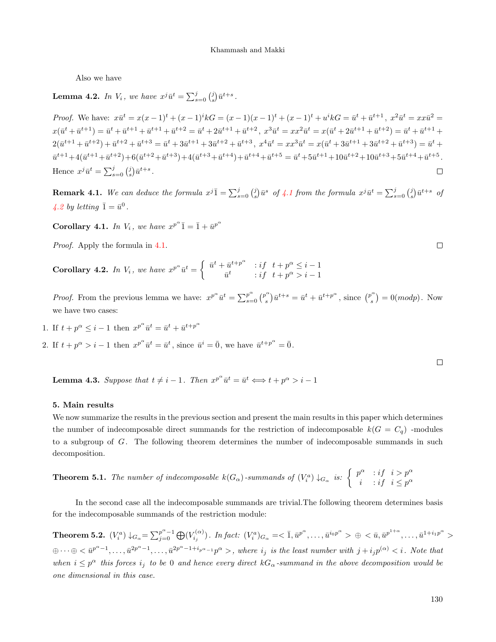Also we have

<span id="page-5-0"></span>**Lemma 4.2.** In  $V_i$ , we have  $x^j \bar{u}^t = \sum_{s=0}^j {j \choose s} \bar{u}^{t+s}$ .

*Proof.* We have:  $x\bar{u}^t = x(x-1)^t + (x-1)^i kG = (x-1)(x-1)^t + (x-1)^t + u^i kG = \bar{u}^t + \bar{u}^{t+1}, x^2\bar{u}^t = xx\bar{u}^2 =$  $x(\bar{u}^t + \bar{u}^{t+1}) = \bar{u}^t + \bar{u}^{t+1} + \bar{u}^{t+1} + \bar{u}^{t+2} = \bar{u}^t + 2\bar{u}^{t+1} + \bar{u}^{t+2}, x^3\bar{u}^t = xx^2\bar{u}^t = x(\bar{u}^t + 2\bar{u}^{t+1} + \bar{u}^{t+2}) = \bar{u}^t + \bar{u}^{t+1} + \bar{u}^{t+2}$  $2(\bar{u}^{t+1} + \bar{u}^{t+2}) + \bar{u}^{t+2} + \bar{u}^{t+3} = \bar{u}^t + 3\bar{u}^{t+1} + 3\bar{u}^{t+2} + \bar{u}^{t+3}, x^4\bar{u}^t = xx^3\bar{u}^t = x(\bar{u}^t + 3\bar{u}^{t+1} + 3\bar{u}^{t+2} + \bar{u}^{t+3}) = \bar{u}^t +$  $\bar{u}^{t+1}+4(\bar{u}^{t+1}+\bar{u}^{t+2})+6(\bar{u}^{t+2}+\bar{u}^{t+3})+4(\bar{u}^{t+3}+\bar{u}^{t+4})+\bar{u}^{t+4}+\bar{u}^{t+5}=\bar{u}^{t}+5\bar{u}^{t+1}+10\bar{u}^{t+2}+10\bar{u}^{t+3}+5\bar{u}^{t+4}+\bar{u}^{t+5}.$ Hence  $x^j \bar{u}^t = \sum_{s=0}^j \binom{j}{s} \bar{u}^{t+s}$ .  $\Box$ 

**Remark [4.1](#page-4-0).** We can deduce the formula  $x^{j}$  $\overline{1} = \sum_{s=0}^{j} {j \choose s} \overline{u}^{s}$  of 4.1 from the formula  $x^{j} \overline{u}^{t} = \sum_{s=0}^{j} {j \choose s} \overline{u}^{t+s}$  of [4.2](#page-5-0) by letting  $\bar{1} = \bar{u}^0$ .

**Corollary 4.1.** In  $V_i$ , we have  $x^{p^{\alpha}}\overline{1} = \overline{1} + \overline{u}^{p^{\alpha}}$ 

Proof. Apply the formula in [4.1.](#page-4-0)

Corollary 4.2. In  $V_i$ , we have  $x^{p^{\alpha}}\bar{u}^t = \begin{cases} \bar{u}^t + \bar{u}^{t+p^{\alpha}} & \text{if } t + p^{\alpha} \leq i-1 \\ \bar{u}^t & \text{if } t + p^{\alpha} \leq i-1 \end{cases}$  $\bar{u}^t$  : if  $t + p^{\alpha} > i - 1$ 

*Proof.* From the previous lemma we have:  $x^{p^{\alpha}} \bar{u}^t = \sum_{s=0}^{p^{\alpha}} {p^{\alpha}} s^t$  $(s^{\alpha})\bar{u}^{t+s} = \bar{u}^t + \bar{u}^{t+p^{\alpha}}, \text{ since } \binom{p^{\alpha}}{s}$  $s^{(0)}$  = 0(*modp*). Now we have two cases:

1. If 
$$
t + p^{\alpha} \leq i - 1
$$
 then  $x^{p^{\alpha}} \overline{u}^t = \overline{u}^t + \overline{u}^{t+p^{\alpha}}$ 

2. If  $t + p^{\alpha} > i - 1$  then  $x^{p^{\alpha}} \bar{u}^t = \bar{u}^t$ , since  $\bar{u}^i = \bar{0}$ , we have  $\bar{u}^{t+p^{\alpha}} = \bar{0}$ .

**Lemma 4.3.** Suppose that  $t \neq i - 1$ . Then  $x^{p^{\alpha}} \bar{u}^t = \bar{u}^t \Longleftrightarrow t + p^{\alpha} > i - 1$ 

#### 5. Main results

We now summarize the results in the previous section and present the main results in this paper which determines the number of indecomposable direct summands for the restriction of indecomposable  $k(G = C_q)$  -modules to a subgroup of G. The following theorem determines the number of indecomposable summands in such decomposition.

**Theorem 5.1.** The number of indecomposable 
$$
k(G_{\alpha})
$$
-summands of  $(V_i^a) \downarrow_{G_{\alpha}}$  is:  $\begin{cases} p^{\alpha} & \text{if } i > p^{\alpha} \\ i & \text{if } i \leq p^{\alpha} \end{cases}$ 

In the second case all the indecomposable summands are trivial.The following theorem determines basis for the indecomposable summands of the restriction module:

Theorem 5.2.  $(V_i^a) \downarrow_{G_\alpha} = \sum_{j=0}^{p^\alpha-1} \bigoplus_{j=0}^{p^\alpha-1} (V_{i_j}^{(\alpha)})$ . In fact:  $(V_i^a)_{G_\alpha} = \langle \bar{1}, \bar{u}^{p^\alpha}, \dots, \bar{u}^{i_0 p^\alpha} \rangle \oplus \langle \bar{u}, \bar{u}^{p^{1+\alpha}}, \dots, \bar{u}^{1+i_1 p^\alpha} \rangle$  $\oplus \cdots \oplus \langle \bar{u}^{p^{\alpha}-1}, \ldots, \bar{u}^{2p^{\alpha}-1}, \ldots, \bar{u}^{2p^{\alpha}-1+i_{p^{\alpha}-1}}p^{\alpha} \rangle$ , where  $i_j$  is the least number with  $j + i_j p^{(\alpha)} \langle i \rangle$ . Note that when  $i \leq p^{\alpha}$  this forces  $i_j$  to be 0 and hence every direct  $kG_{\alpha}$ -summand in the above decomposition would be one dimensional in this case.

130

 $\Box$ 

 $\Box$